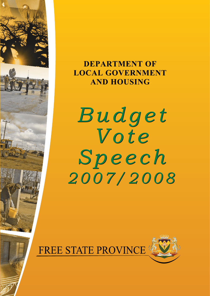

# **DEPARTMENT OF LOCAL GOVERNMENT AND HOUSING**

Budget Vote Speech 2007/2008

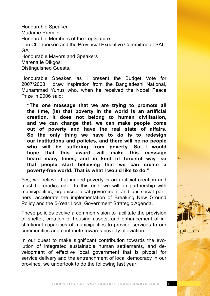Honourable Speaker Madame Premier Honourable Members of the Legislature The Chairperson and the Provincial Executive Committee of SAL-GA Honourable Mayors and Speakers Marena le Dikgosi Distinguished Guests.

Honourable Speaker, as I present the Budget Vote for 2007/2008 I draw inspiration from the Bangladeshi National, Muhammad Yunus who, when he received the Nobel Peace Prize in 2006 said:

**"The one message that we are trying to promote all the time, (is) that poverty in the world is an artificial creation. It does not belong to human civilisation, and we can change that, we can make people come out of poverty and have the real state of affairs. So the only thing we have to do is to redesign our institutions and policies, and there will be no people who will be suffering from poverty. So I would hope that this award will make this message heard many times, and in kind of forceful way, so that people start believing that we can create a poverty-free world. That is what I would like to do."**

Yes, we believe that indeed poverty is an artificial creation and must be eradicated. To this end, we will, in partnership with municipalities, organised local government and our social partners, accelerate the implementation of Breaking New Ground Policy and the 5-Year Local Government Strategic Agenda.

These policies evolve a common vision to facilitate the provision of shelter, creation of housing assets, and enhancement of institutional capacities of municipalities to provide services to our communities and contribute towards poverty alleviation.

In our quest to make significant contribution towards the evolution of integrated sustainable human settlements, and development of effective local government that is pivotal for service delivery and the entrenchment of local democracy in our province, we undertook to do the following last year: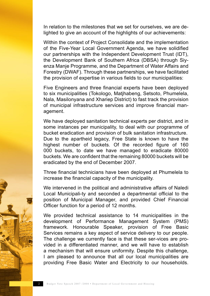In relation to the milestones that we set for ourselves, we are delighted to give an account of the highlights of our achievements:

Within the context of Project Consolidate and the implementation of the Five-Year Local Government Agenda, we have solidified our partnerships with the Independent Development Trust (IDT), the Development Bank of Southern Africa (DBSA) through Siyenza Manje Programme, and the Department of Water Affairs and Forestry (DWAF). Through these partnerships, we have facilitated the provision of expertise in various fields to our municipalities:

Five Engineers and three financial experts have been deployed to six municipalities (Tokologo, Matjhabeng, Setsoto, Phumelela, Nala, Masilonyana and Xhariep District) to fast track the provision of municipal infrastructure services and improve financial management.

We have deployed sanitation technical experts per district, and in some instances per municipality, to deal with our programme of bucket eradication and provision of bulk sanitation infrastructure. Due to the apartheid legacy, Free State is known to have the highest number of buckets. Of the recorded figure of 160 000 buckets, to date we have managed to eradicate 80000 buckets. We are confident that the remaining 80000 buckets will be eradicated by the end of December 2007.

Three financial technicians have been deployed at Phumelela to increase the financial capacity of the municipality.

We intervened in the political and administrative affairs of Naledi Local Municipali-ty and seconded a departmental official to the position of Municipal Manager, and provided Chief Financial Officer function for a period of 12 months.

We provided technical assistance to 14 municipalities in the development of Performance Management System (PMS) framework. Honourable Speaker, provision of Free Basic Services remains a key aspect of service delivery to our people. The challenge we currently face is that these ser-vices are provided in a differentiated manner, and we will have to establish a mechanism that will ensure uniformity. Despite this challenge, I am pleased to announce that all our local municipalities are providing Free Basic Water and Electricity to our households.

2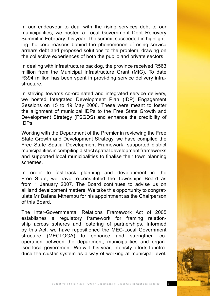In our endeavour to deal with the rising services debt to our municipalities, we hosted a Local Government Debt Recovery Summit in February this year. The summit succeeded in highlighting the core reasons behind the phenomenon of rising service arrears debt and proposed solutions to the problem, drawing on the collective experiences of both the public and private sectors.

In dealing with infrastructure backlog, the province received R563 million from the Municipal Infrastructure Grant (MIG). To date R394 million has been spent in provi-ding service delivery infrastructure.

In striving towards co-ordinated and integrated service delivery, we hosted Integrated Development Plan (IDP) Engagement Sessions on 15 to 19 May 2006. These were meant to foster the alignment of municipal IDPs to the Free State Growth and Development Strategy (FSGDS) and enhance the credibility of IDPs.

Working with the Department of the Premier in reviewing the Free State Growth and Development Strategy, we have compiled the Free State Spatial Development Framework, supported district municipalities in compiling district spatial development frameworks and supported local municipalities to finalise their town planning schemes.

In order to fast-track planning and development in the Free State, we have re-constituted the Townships Board as from 1 January 2007. The Board continues to advise us on all land development matters. We take this opportunity to congratulate Mr Bafana Mthembu for his appointment as the Chairperson of this Board.

The Inter-Governmental Relations Framework Act of 2005 establishes a regulatory framework for framing relationship across spheres and fostering of partnerships. Informed by this Act, we have repositioned the MEC-Local Government structure (MECLOGA) to enhance and strengthen cooperation between the department, municipalities and organised local government. We will this year, intensify efforts to introduce the cluster system as a way of working at municipal level.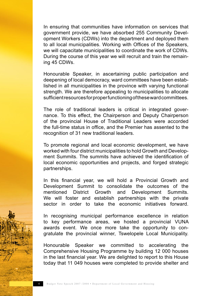In ensuring that communities have information on services that government provide, we have absorbed 255 Community Development Workers (CDWs) into the department and deployed them to all local municipalities. Working with Offices of the Speakers, we will capacitate municipalities to coordinate the work of CDWs. During the course of this year we will recruit and train the remaining 45 CDWs.

Honourable Speaker, in ascertaining public participation and deepening of local democracy, ward committees have been established in all municipalities in the province with varying functional strength. We are therefore appealing to municipalities to allocate sufficient resources for proper functioning of these ward committees.

The role of traditional leaders is critical in integrated governance. To this effect, the Chairperson and Deputy Chairperson of the provincial House of Traditional Leaders were accorded the full-time status in office, and the Premier has assented to the recognition of 31 new traditional leaders.

To promote regional and local economic development, we have worked with four district municipalities to hold Growth and Development Summits. The summits have achieved the identification of local economic opportunities and projects, and forged strategic partnerships.

In this financial year, we will hold a Provincial Growth and Development Summit to consolidate the outcomes of the mentioned District Growth and Development Summits. We will foster and establish partnerships with the private sector in order to take the economic initiatives forward.

In recognising municipal performance excellence in relation to key performance areas, we hosted a provincial VUNA awards event. We once more take the opportunity to congratulate the provincial winner, Tswelopele Local Municipality.

Honourable Speaker we committed to accelerating the Comprehensive Housing Programme by building 12 000 houses in the last financial year. We are delighted to report to this House today that 11 049 houses were completed to provide shelter and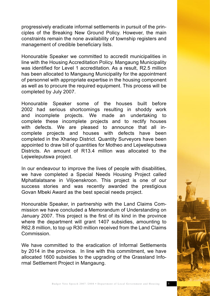progressively eradicate informal settlements in pursuit of the principles of the Breaking New Ground Policy. However, the main constraints remain the none availability of township registers and management of credible beneficiary lists.

Honourable Speaker we committed to accredit municipalities in line with the Housing Accreditation Policy. Mangaung Municipality was identified for Level 1 accreditation. As a result, R2.5 million has been allocated to Mangaung Municipality for the appointment of personnel with appropriate expertise in the housing component as well as to procure the required equipment. This process will be completed by July 2007.

Honourable Speaker some of the houses built before 2002 had serious shortcomings resulting in shoddy work and incomplete projects. We made an undertaking to complete these incomplete projects and to rectify houses with defects. We are pleased to announce that all incomplete projects and houses with defects have been completed in the Xhariep District. Quantity Surveyors have been appointed to draw bill of quantities for Motheo and Lejweleputswa Districts. An amount of R13.4 million was allocated to the Lejweleputswa project.

In our endeavour to improve the lives of people with disabilities, we have completed a Special Needs Housing Project called Mphatlalatsane in Viljoenskroon. This project is one of our success stories and was recently awarded the prestigious Govan Mbeki Award as the best special needs project.

Honourable Speaker, in partnership with the Land Claims Commission we have concluded a Memorandum of Understanding on January 2007. This project is the first of its kind in the province where the department will grant 1407 subsidies, amounting to R62.8 million, to top up R30 million received from the Land Claims **Commission** 

We have committed to the eradication of Informal Settlements by 2014 in the province. In line with this commitment, we have allocated 1600 subsidies to the upgrading of the Grassland Informal Settlement Project in Mangaung.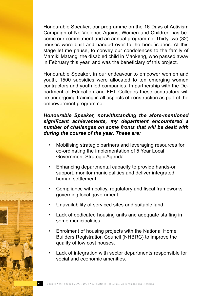Honourable Speaker, our programme on the 16 Days of Activism Campaign of No Violence Against Women and Children has become our commitment and an annual programme. Thirty-two (32) houses were built and handed over to the beneficiaries. At this stage let me pause, to convey our condolences to the family of Mamiki Matang, the disabled child in Maokeng, who passed away in February this year, and was the beneficiary of this project.

Honourable Speaker, in our endeavour to empower women and youth, 1500 subsidies were allocated to ten emerging women contractors and youth led companies. In partnership with the Department of Education and FET Colleges these contractors will be undergoing training in all aspects of construction as part of the empowerment programme.

### *Honourable Speaker, notwithstanding the afore-mentioned significant achievements, my department encountered a number of challenges on some fronts that will be dealt with during the course of the year. These are:*

- Mobilising strategic partners and leveraging resources for co-ordinating the implementation of 5 Year Local Government Strategic Agenda.
- Enhancing departmental capacity to provide hands-on support, monitor municipalities and deliver integrated human settlement.
- Compliance with policy, regulatory and fiscal frameworks governing local government.
- Unavailability of serviced sites and suitable land.
- Lack of dedicated housing units and adequate staffing in some municipalities.
- Enrolment of housing projects with the National Home Builders Registration Council (NHBRC) to improve the quality of low cost houses.
- Lack of integration with sector departments responsible for social and economic amenities.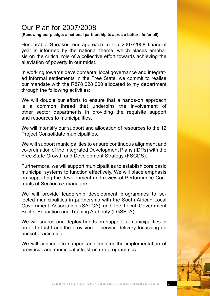## Our Plan for 2007/2008

#### **(Renewing our pledge: a national partnership towards a better life for all)**

Honourable Speaker, our approach to the 2007/2008 financial year is informed by the national theme, which places emphasis on the critical role of a collective effort towards achieving the alleviation of poverty in our midst.

In working towards developmental local governance and integrated informal settlements in the Free State, we commit to realise our mandate with the R878 028 000 allocated to my department through the following activities:

We will double our efforts to ensure that a hands-on approach is a common thread that underpins the involvement of other sector departments in providing the requisite support and resources to municipalities.

We will intensify our support and allocation of resources to the 12 Project Consolidate municipalities.

We will support municipalities to ensure continuous alignment and co-ordination of the Integrated Development Plans (IDPs) with the Free State Growth and Development Strategy (FSGDS).

Furthermore, we will support municipalities to establish core basic municipal systems to function effectively. We will place emphasis on supporting the development and review of Performance Contracts of Section 57 managers.

We will provide leadership development programmes to selected municipalities in partnership with the South African Local Government Association (SALGA) and the Local Government Sector Education and Training Authority (LGSETA).

We will source and deploy hands-on support to municipalities in order to fast track the provision of service delivery focussing on bucket eradication.

We will continue to support and monitor the implementation of provincial and municipal infrastructure programmes.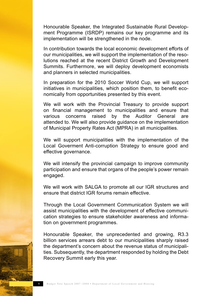Honourable Speaker, the Integrated Sustainable Rural Development Programme (ISRDP) remains our key programme and its implementation will be strengthened in the node.

In contribution towards the local economic development efforts of our municipalities, we will support the implementation of the resolutions reached at the recent District Growth and Development Summits. Furthermore, we will deploy development economists and planners in selected municipalities.

In preparation for the 2010 Soccer World Cup, we will support initiatives in municipalities, which position them, to benefit economically from opportunities presented by this event.

We will work with the Provincial Treasury to provide support on financial management to municipalities and ensure that various concerns raised by the Auditor General are attended to. We will also provide guidance on the implementation of Municipal Property Rates Act (MPRA) in all municipalities.

We will support municipalities with the implementation of the Local Goverment Anti-corruption Strategy to ensure good and effective governance.

We will intensify the provincial campaign to improve community participation and ensure that organs of the people's power remain engaged.

We will work with SALGA to promote all our IGR structures and ensure that district IGR forums remain effective.

Through the Local Government Communication System we will assist municipalities with the development of effective communication strategies to ensure stakeholder awareness and information on government programmes.

Honourable Speaker, the unprecedented and growing, R3.3 billion services arrears debt to our municipalities sharply raised the department's concern about the revenue status of municipalities. Subsequently, the department responded by holding the Debt Recovery Summit early this year.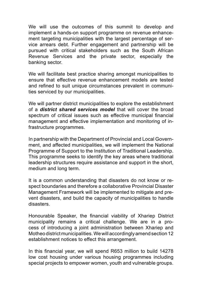We will use the outcomes of this summit to develop and implement a hands-on support programme on revenue enhancement targeting municipalities with the largest percentage of service arrears debt. Further engagement and partnership will be pursued with critical stakeholders such as the South African Revenue Services and the private sector, especially the banking sector.

We will facilitate best practice sharing amongst municipalities to ensure that effective revenue enhancement models are tested and refined to suit unique circumstances prevalent in communities serviced by our municipalities.

We will partner district municipalities to explore the establishment of a *district shared services model* that will cover the broad spectrum of critical issues such as effective municipal financial management and effective implementation and monitoring of infrastructure programmes.

In partnership with the Department of Provincial and Local Government, and affected municipalities, we will implement the National Programme of Support to the Institution of Traditional Leadership. This programme seeks to identify the key areas where traditional leadership structures require assistance and support in the short, medium and long term.

It is a common understanding that disasters do not know or respect boundaries and therefore a collaborative Provincial Disaster Management Framework will be implemented to mitigate and prevent disasters, and build the capacity of municipalities to handle disasters.

Honourable Speaker, the financial viability of Xhariep District municipality remains a critical challenge. We are in a process of introducing a joint administration between Xhariep and Motheo district municipalities. We will accordingly amend section 12 establishment notices to effect this arrangement.

In this financial year, we will spend R653 million to build 14278 low cost housing under various housing programmes including special projects to empower women, youth and vulnerable groups.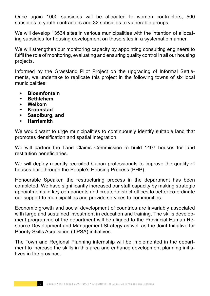Once again 1000 subsidies will be allocated to women contractors, 500 subsidies to youth contractors and 32 subsidies to vulnerable groups.

We will develop 13534 sites in various municipalities with the intention of allocating subsidies for housing development on those sites in a systematic manner.

We will strengthen our monitoring capacity by appointing consulting engineers to fulfil the role of monitoring, evaluating and ensuring quality control in all our housing projects.

Informed by the Grassland Pilot Project on the upgrading of Informal Settlements, we undertake to replicate this project in the following towns of six local municipalities:

- **• Bloemfontein**
- **• Bethlehem**
- **• Welkom**
- **• Kroonstad**
- **• Sasolburg, and**
- **• Harrismith**

We would want to urge municipalities to continuously identify suitable land that promotes densification and spatial integration.

We will partner the Land Claims Commission to build 1407 houses for land restitution beneficiaries.

We will deploy recently recruited Cuban professionals to improve the quality of houses built through the People's Housing Process (PHP).

Honourable Speaker, the restructuring process in the department has been completed. We have significantly increased our staff capacity by making strategic appointments in key components and created district offices to better co-ordinate our support to municipalities and provide services to communities.

Economic growth and social development of countries are invariably associated with large and sustained investment in education and training. The skills development programme of the department will be aligned to the Provincial Human Resource Development and Management Strategy as well as the Joint Initiative for Priority Skills Acquisition (JIPSA) initiatives.

The Town and Regional Planning internship will be implemented in the department to increase the skills in this area and enhance development planning initiatives in the province.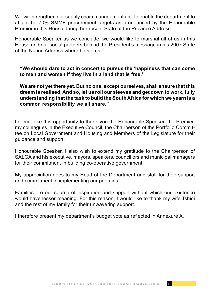We will strengthen our supply chain management unit to enable the department to attain the 70% SMME procurement targets as pronounced by the Honourable Premier in this House during her recent State of the Province Address.

Honourable Speaker as we conclude, we would like to marshal all of us in this House and our social partners behind the President's message in his 2007 State of the Nation Address where he states:

**"We should dare to act in concert to pursue the 'happiness that can come to men and women if they live in a land that is free.'**

**We are not yet there yet. But no one, except ourselves, shall ensure that this dream is realised. And so, let us roll our sleeves and get down to work, fully understanding that the task to build the South Africa for which we yearn is a common responsibility we all share."**

Let me take this opportunity to thank you the Honourable Speaker, the Premier, my colleagues in the Executive Council, the Chairperson of the Portfolio Committee on Local Government and Housing and Members of the Legislature for their guidance and support.

Honourable Speaker, I also wish to extend my gratitude to the Chairperson of SALGA and his executive, mayors, speakers, councillors and municipal managers for their commitment in building co-operative government.

My appreciation goes to my Head of the Department and staff for their support and commitment in implementing our priorities.

Families are our source of inspiration and support without which our existence would have lesser meaning. For this reason, I would like to thank my wife Tshidi and the rest of my family for their unwavering support.

I therefore present my department's budget vote as reflected in Annexure A.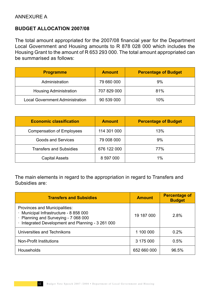## ANNEXURE A

## **BUDGET ALLOCATION 2007/08**

The total amount appropriated for the 2007/08 financial year for the Department Local Government and Housing amounts to R 878 028 000 which includes the Housing Grant to the amount of R 653 293 000. The total amount appropriated can be summarised as follows:

| <b>Programme</b>                       | <b>Amount</b> | <b>Percentage of Budget</b> |  |
|----------------------------------------|---------------|-----------------------------|--|
| Administration                         | 79 660 000    | 9%                          |  |
| <b>Housing Administration</b>          | 707 829 000   | 81%                         |  |
| <b>Local Government Administration</b> | 90 539 000    | 10%                         |  |

| <b>Economic classification</b>   | <b>Amount</b> | <b>Percentage of Budget</b> |  |  |
|----------------------------------|---------------|-----------------------------|--|--|
| <b>Compensation of Employees</b> | 114 301 000   | 13%                         |  |  |
| <b>Goods and Services</b>        | 79 008 000    | 9%                          |  |  |
| <b>Transfers and Subsidies</b>   | 676 122 000   | 77%                         |  |  |
| <b>Capital Assets</b>            | 8 597 000     | 1%                          |  |  |

The main elements in regard to the appropriation in regard to Transfers and Subsidies are:

| <b>Transfers and Subsidies</b>                                                                                                                                       | <b>Amount</b> | <b>Percentage of</b><br><b>Budget</b> |
|----------------------------------------------------------------------------------------------------------------------------------------------------------------------|---------------|---------------------------------------|
| Provinces and Municipalities:<br>· Municipal Infrastructure - 8 858 000<br>· Planning and Surveying - 7 068 000<br>· Integrated Development and Planning - 3 261 000 | 19 187 000    | 2.8%                                  |
| Universities and Technikons                                                                                                                                          | 1 100 000     | 0.2%                                  |
| <b>Non-Profit Institutions</b>                                                                                                                                       | 3 175 000     | 0.5%                                  |
| <b>Households</b>                                                                                                                                                    | 652 660 000   | 96.5%                                 |